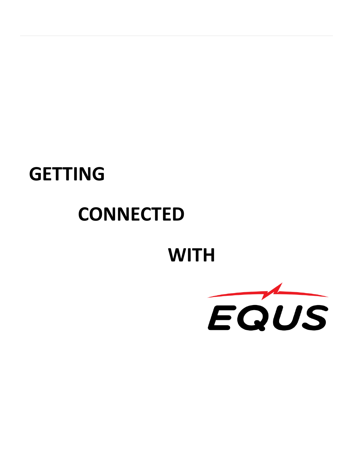## **GETTING**

# **CONNECTED**

## **WITH**

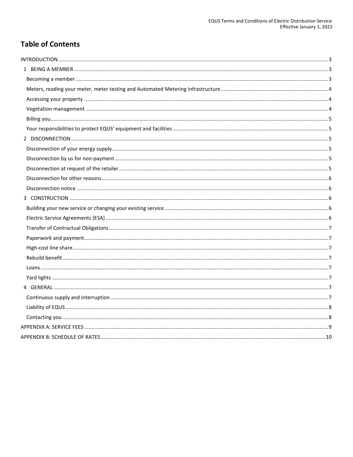### **Table of Contents**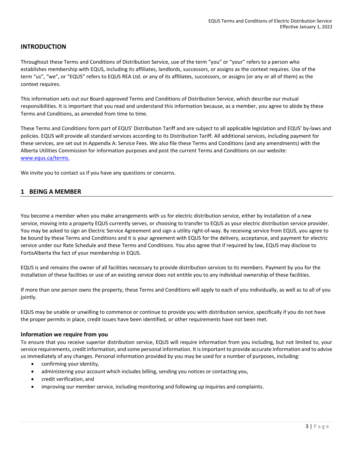#### <span id="page-2-0"></span>**INTRODUCTION**

Throughout these Terms and Conditions of Distribution Service, use of the term "you" or "your" refers to a person who establishes membership with EQUS, including its affiliates, landlords, successors, or assigns as the context requires. Use of the term "us", "we", or "EQUS" refers to EQUS REA Ltd. or any of its affiliates, successors, or assigns (or any or all of them) as the context requires.

This information sets out our Board-approved Terms and Conditions of Distribution Service, which describe our mutual responsibilities. It is important that you read and understand this information because, as a member, you agree to abide by these Terms and Conditions, as amended from time to time.

These Terms and Conditions form part of EQUS' Distribution Tariff and are subject to all applicable legislation and EQUS' by-laws and policies. EQUS will provide all standard services according to its Distribution Tariff. All additional services, including payment for these services, are set out in Appendix A: Service Fees. We also file these Terms and Conditions (and any amendments) with the Alberta Utilities Commission for information purposes and post the current Terms and Conditions on our website: [www.equs.ca/](http://www.equs.ca/)terms.

We invite you to contact us if you have any questions or concerns.

#### <span id="page-2-1"></span>**1 BEING A MEMBER**

<span id="page-2-2"></span>You become a member when you make arrangements with us for electric distribution service, either by installation of a new service, moving into a property EQUS currently serves, or choosing to transfer to EQUS as your electric distribution service provider. You may be asked to sign an Electric Service Agreement and sign a utility right-of-way. By receiving service from EQUS, you agree to be bound by these Terms and Conditions and it is your agreement with EQUS for the delivery, acceptance, and payment for electric service under our Rate Schedule and these Terms and Conditions. You also agree that if required by law, EQUS may disclose to FortisAlberta the fact of your membership in EQUS.

EQUS is and remains the owner of all facilities necessary to provide distribution services to its members. Payment by you for the installation of these facilities or use of an existing service does not entitle you to any individual ownership of these facilities.

If more than one person owns the property, these Terms and Conditions will apply to each of you individually, as well as to all of you jointly.

EQUS may be unable or unwilling to commence or continue to provide you with distribution service, specifically if you do not have the proper permits in place, credit issues have been identified, or other requirements have not been met.

#### **Information we require from you**

To ensure that you receive superior distribution service, EQUS will require information from you including, but not limited to, your service requirements, credit information, and some personal information. It isimportant to provide accurate information and to advise us immediately of any changes. Personal information provided by you may be used for a number of purposes, including:

- confirming your identity,
- administering your account which includes billing, sending you notices or contacting you,
- credit verification, and
- improving our member service, including monitoring and following up inquiries and complaints.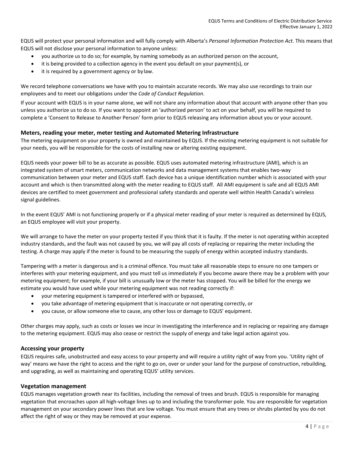EQUS will protect your personal information and will fully comply with Alberta's *Personal Information Protection Act*. This means that EQUS will not disclose your personal information to anyone unless:

- you authorize us to do so; for example, by naming somebody as an authorized person on the account,
- it is being provided to a collection agency in the event you default on your payment(s), or
- it is required by a government agency or by law.

We record telephone conversations we have with you to maintain accurate records. We may also use recordings to train our employees and to meet our obligations under the *Code of Conduct Regulation*.

If your account with EQUS is in your name alone, we will not share any information about that account with anyone other than you unless you authorize us to do so. If you want to appoint an 'authorized person' to act on your behalf, you will be required to complete a 'Consent to Release to Another Person' form prior to EQUS releasing any information about you or your account.

#### <span id="page-3-0"></span>**Meters, reading your meter, meter testing and Automated Metering Infrastructure**

The metering equipment on your property is owned and maintained by EQUS. If the existing metering equipment is not suitable for your needs, you will be responsible for the costs of installing new or altering existing equipment.

EQUS needs your power bill to be as accurate as possible. EQUS uses automated metering infrastructure (AMI), which is an integrated system of smart meters, communication networks and data management systems that enables two-way communication between your meter and EQUS staff. Each device has a unique identification number which is associated with your account and which is then transmitted along with the meter reading to EQUS staff. All AMI equipment is safe and all EQUS AMI devices are certified to meet government and professional safety standards and operate well within Health Canada's wireless signal guidelines.

In the event EQUS' AMI is not functioning properly or if a physical meter reading of your meter is required as determined by EQUS, an EQUS employee will visit your property.

We will arrange to have the meter on your property tested if you think that it is faulty. If the meter is not operating within accepted industry standards, and the fault was not caused by you, we will pay all costs of replacing or repairing the meter including the testing. A charge may apply if the meter is found to be measuring the supply of energy within accepted industry standards.

Tampering with a meter is dangerous and is a criminal offence. You must take all reasonable steps to ensure no one tampers or interferes with your metering equipment, and you must tell us immediately if you become aware there may be a problem with your metering equipment; for example, if your bill is unusually low or the meter has stopped. You will be billed for the energy we estimate you would have used while your metering equipment was not reading correctly if:

- your metering equipment is tampered or interfered with or bypassed,
- you take advantage of metering equipment that is inaccurate or not operating correctly, or
- you cause, or allow someone else to cause, any other loss or damage to EQUS' equipment.

Other charges may apply, such as costs or losses we incur in investigating the interference and in replacing or repairing any damage to the metering equipment. EQUS may also cease or restrict the supply of energy and take legal action against you.

#### <span id="page-3-1"></span>**Accessing your property**

EQUS requires safe, unobstructed and easy access to your property and will require a utility right of way from you. 'Utility right of way' means we have the right to access and the right to go on, over or under your land for the purpose of construction, rebuilding, and upgrading, as well as maintaining and operating EQUS' utility services.

#### <span id="page-3-2"></span>**Vegetation management**

EQUS manages vegetation growth near its facilities, including the removal of trees and brush. EQUS is responsible for managing vegetation that encroaches upon all high-voltage lines up to and including the transformer pole. You are responsible for vegetation management on your secondary power lines that are low voltage. You must ensure that any trees or shrubs planted by you do not affect the right of way or they may be removed at your expense.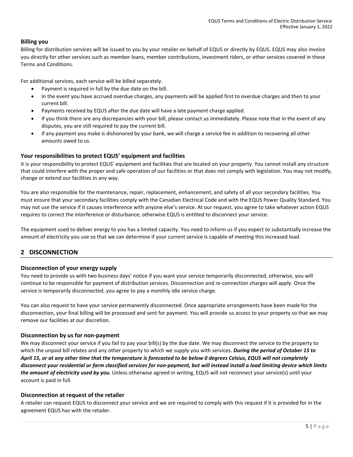#### <span id="page-4-0"></span>**Billing you**

Billing for distribution services will be issued to you by your retailer on behalf of EQUS or directly by EQUS. EQUS may also invoice you directly for other services such as member loans, member contributions, investment riders, or other services covered in these Terms and Conditions.

For additional services, each service will be billed separately.

- Payment is required in full by the due date on the bill.
- In the event you have accrued overdue charges, any payments will be applied first to overdue charges and then to your current bill.
- Payments received by EQUS after the due date will have a late payment charge applied.
- If you think there are any discrepancies with your bill, please contact us immediately. Please note that in the event of any disputes, you are still required to pay the current bill.
- If any payment you make is dishonored by your bank, we will charge a service fee in addition to recovering all other amounts owed to us.

#### <span id="page-4-1"></span>**Your responsibilities to protect EQUS' equipment and facilities**

It is your responsibility to protect EQUS' equipment and facilities that are located on your property. You cannot install any structure that could interfere with the proper and safe operation of our facilities or that does not comply with legislation. You may not modify, change or extend our facilities in any way.

You are also responsible for the maintenance, repair, replacement, enhancement, and safety of all your secondary facilities. You must ensure that your secondary facilities comply with the Canadian Electrical Code and with the EQUS Power Quality Standard. You may not use the service if it causes interference with anyone else's service. At our request, you agree to take whatever action EQUS requires to correct the interference or disturbance; otherwise EQUS is entitled to disconnect your service.

The equipment used to deliver energy to you has a limited capacity. You need to inform us if you expect to substantially increase the amount of electricity you use so that we can determine if your current service is capable of meeting this increased load.

#### <span id="page-4-2"></span>**2 DISCONNECTION**

#### <span id="page-4-3"></span>**Disconnection of your energy supply**

You need to provide us with two business days' notice if you want your service temporarily disconnected, otherwise, you will continue to be responsible for payment of distribution services. Disconnection and re-connection charges will apply. Once the service is temporarily disconnected, you agree to pay a monthly idle service charge.

You can also request to have your service permanently disconnected. Once appropriate arrangements have been made for the disconnection, your final billing will be processed and sent for payment. You will provide us access to your property so that we may remove our facilities at our discretion.

#### <span id="page-4-4"></span>**Disconnection by us for non-payment**

We may disconnect your service if you fail to pay your bill(s) by the due date. We may disconnect the service to the property to which the unpaid bill relates and any other property to which we supply you with services. *During the period of October 15 to April 15, or at any other time that the temperature is forecasted to be below 0 degrees Celsius, EQUS will not completely disconnect your residential or farm classified services for non-payment, but will instead install a load limiting device which limits the amount of electricity used by you.* Unless otherwise agreed in writing, EQUS will not reconnect your service(s) until your account is paid in full.

#### <span id="page-4-5"></span>**Disconnection at request of the retailer**

A retailer can request EQUS to disconnect your service and we are required to comply with this request if it is provided for in the agreement EQUS has with the retailer.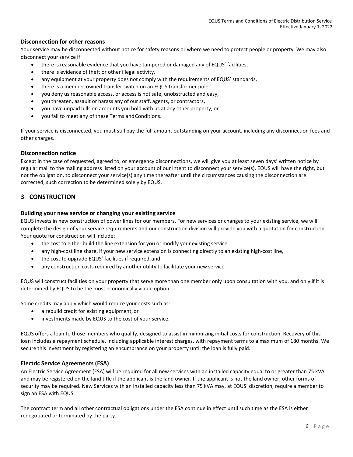#### <span id="page-5-0"></span>**Disconnection for other reasons**

Your service may be disconnected without notice for safety reasons or where we need to protect people or property. We may also disconnect your service if:

- there is reasonable evidence that you have tampered or damaged any of EQUS' facilities,
- there is evidence of theft or other illegal activity,
- any equipment at your property does not comply with the requirements of EQUS' standards,
- there is a member-owned transfer switch on an EQUS transformer pole,
- you deny us reasonable access, or access is not safe, unobstructed and easy,
- you threaten, assault or harass any of our staff, agents, or contractors,
- you have unpaid bills on accounts you hold with us at any other property, or
- you fail to meet any of these Terms andConditions.

If your service is disconnected, you must still pay the full amount outstanding on your account, including any disconnection fees and other charges.

#### <span id="page-5-1"></span>**Disconnection notice**

Except in the case of requested, agreed to, or emergency disconnections, we will give you at least seven days' written notice by regular mail to the mailing address listed on your account of our intent to disconnect your service(s). EQUS will have the right, but not the obligation, to disconnect your service(s) any time thereafter until the circumstances causing the disconnection are corrected, such correction to be determined solely by EQUS.

#### <span id="page-5-2"></span>**3 CONSTRUCTION**

#### <span id="page-5-3"></span>**Building your new service or changing your existing service**

EQUS invests in new construction of power lines for our members. For new services or changes to your existing service, we will complete the design of your service requirements and our construction division will provide you with a quotation for construction. Your quote for construction will include:

- the cost to either build the line extension for you or modify your existing service,
- any high-cost line share, if your new service extension is connecting directly to an existing high-cost line,
- the cost to upgrade EQUS' facilities if required, and
- any construction costs required by another utility to facilitate your new service.

EQUS will construct facilities on your property that serve more than one member only upon consultation with you, and only if it is determined by EQUS to be the most economically viable option.

Some credits may apply which would reduce your costs such as:

- a rebuild credit for existing equipment, or
- investments made by EQUS to the cost of your service.

EQUS offers a loan to those members who qualify, designed to assist in minimizing initial costs for construction. Recovery of this loan includes a repayment schedule, including applicable interest charges, with repayment terms to a maximum of 180 months. We secure this investment by registering an encumbrance on your property until the loan is fully paid.

#### <span id="page-5-4"></span>**Electric Service Agreements (ESA)**

An Electric Service Agreement (ESA) will be required for all new services with an installed capacity equal to or greater than 75 kVA and may be registered on the land title if the applicant is the land owner. If the applicant is not the land owner, other forms of security may be required. New Services with an installed capacity less than 75 kVA may, at EQUS' discretion, require a member to sign an ESA with EQUS.

The contract term and all other contractual obligations under the ESA continue in effect until such time as the ESA is either renegotiated or terminated by the party.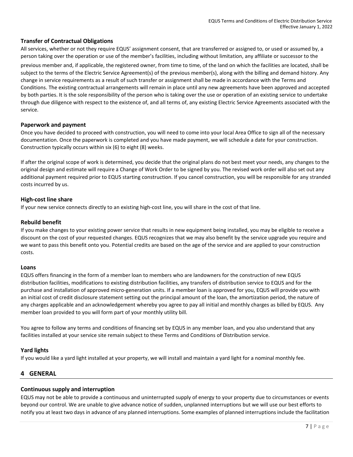#### <span id="page-6-0"></span>**Transfer of Contractual Obligations**

All services, whether or not they require EQUS' assignment consent, that are transferred or assigned to, or used or assumed by, a person taking over the operation or use of the member's facilities, including without limitation, any affiliate or successor to the

previous member and, if applicable, the registered owner, from time to time, of the land on which the facilities are located, shall be subject to the terms of the Electric Service Agreement(s) of the previous member(s), along with the billing and demand history. Any change in service requirements as a result of such transfer or assignment shall be made in accordance with the Terms and Conditions. The existing contractual arrangements will remain in place until any new agreements have been approved and accepted by both parties. It is the sole responsibility of the person who is taking over the use or operation of an existing service to undertake through due diligence with respect to the existence of, and all terms of, any existing Electric Service Agreements associated with the service.

#### <span id="page-6-1"></span>**Paperwork and payment**

Once you have decided to proceed with construction, you will need to come into your local Area Office to sign all of the necessary documentation. Once the paperwork is completed and you have made payment, we will schedule a date for your construction. Construction typically occurs within six (6) to eight (8) weeks.

If after the original scope of work is determined, you decide that the original plans do not best meet your needs, any changes to the original design and estimate will require a Change of Work Order to be signed by you. The revised work order will also set out any additional payment required prior to EQUS starting construction. If you cancel construction, you will be responsible for any stranded costs incurred by us.

#### <span id="page-6-2"></span>**High-cost line share**

If your new service connects directly to an existing high-cost line, you will share in the cost of that line.

#### <span id="page-6-3"></span>**Rebuild benefit**

If you make changes to your existing power service that results in new equipment being installed, you may be eligible to receive a discount on the cost of your requested changes. EQUS recognizes that we may also benefit by the service upgrade you require and we want to pass this benefit onto you. Potential credits are based on the age of the service and are applied to your construction costs.

#### <span id="page-6-4"></span>**Loans**

EQUS offers financing in the form of a member loan to members who are landowners for the construction of new EQUS distribution facilities, modifications to existing distribution facilities, any transfers of distribution service to EQUS and for the purchase and installation of approved micro-generation units. If a member loan is approved for you, EQUS will provide you with an initial cost of credit disclosure statement setting out the principal amount of the loan, the amortization period, the nature of any charges applicable and an acknowledgement whereby you agree to pay all initial and monthly charges as billed by EQUS. Any member loan provided to you will form part of your monthly utility bill.

You agree to follow any terms and conditions of financing set by EQUS in any member loan, and you also understand that any facilities installed at your service site remain subject to these Terms and Conditions of Distribution service.

#### <span id="page-6-5"></span>**Yard lights**

If you would like a yard light installed at your property, we will install and maintain a yard light for a nominal monthly fee.

#### <span id="page-6-6"></span>**4 GENERAL**

#### <span id="page-6-7"></span>**Continuous supply and interruption**

EQUS may not be able to provide a continuous and uninterrupted supply of energy to your property due to circumstances or events beyond our control. We are unable to give advance notice of sudden, unplanned interruptions but we will use our best efforts to notify you at least two days in advance of any planned interruptions. Some examples of planned interruptions include the facilitation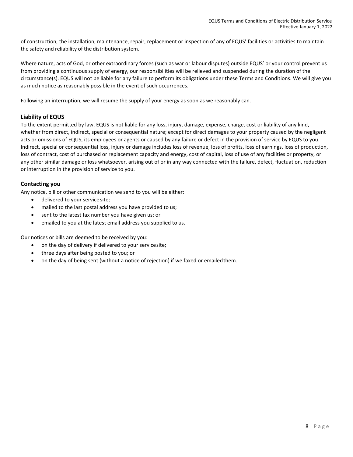of construction, the installation, maintenance, repair, replacement or inspection of any of EQUS' facilities or activities to maintain the safety and reliability of the distribution system.

Where nature, acts of God, or other extraordinary forces (such as war or labour disputes) outside EQUS' or your control prevent us from providing a continuous supply of energy, our responsibilities will be relieved and suspended during the duration of the circumstance(s). EQUS will not be liable for any failure to perform its obligations under these Terms and Conditions. We will give you as much notice as reasonably possible in the event of such occurrences.

Following an interruption, we will resume the supply of your energy as soon as we reasonably can.

#### <span id="page-7-0"></span>**Liability of EQUS**

To the extent permitted by law, EQUS is not liable for any loss, injury, damage, expense, charge, cost or liability of any kind, whether from direct, indirect, special or consequential nature; except for direct damages to your property caused by the negligent acts or omissions of EQUS, its employees or agents or caused by any failure or defect in the provision of service by EQUS to you. Indirect, special or consequential loss, injury or damage includes loss of revenue, loss of profits, loss of earnings, loss of production, loss of contract, cost of purchased or replacement capacity and energy, cost of capital, loss of use of any facilities or property, or any other similar damage or loss whatsoever, arising out of or in any way connected with the failure, defect, fluctuation, reduction or interruption in the provision of service to you.

#### <span id="page-7-1"></span>**Contacting you**

Any notice, bill or other communication we send to you will be either:

- delivered to your service site;
- mailed to the last postal address you have provided to us;
- sent to the latest fax number you have given us; or
- emailed to you at the latest email address you supplied to us.

Our notices or bills are deemed to be received by you:

- on the day of delivery if delivered to your servicesite;
- three days after being posted to you; or
- on the day of being sent (without a notice of rejection) if we faxed or emailedthem.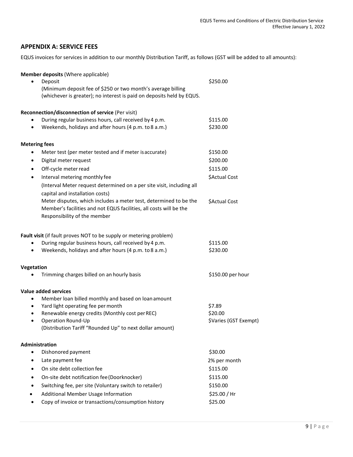#### <span id="page-8-0"></span>**APPENDIX A: SERVICE FEES**

EQUS invoices for services in addition to our monthly Distribution Tariff, as follows (GST will be added to all amounts):

| Member deposits (Where applicable)                                                                                                    |                       |
|---------------------------------------------------------------------------------------------------------------------------------------|-----------------------|
| Deposit                                                                                                                               | \$250.00              |
| (Minimum deposit fee of \$250 or two month's average billing<br>(whichever is greater); no interest is paid on deposits held by EQUS. |                       |
|                                                                                                                                       |                       |
| Reconnection/disconnection of service (Per visit)                                                                                     |                       |
| During regular business hours, call received by 4 p.m.                                                                                | \$115.00              |
| Weekends, holidays and after hours (4 p.m. to 8 a.m.)<br>$\bullet$                                                                    | \$230.00              |
| <b>Metering fees</b>                                                                                                                  |                       |
| Meter test (per meter tested and if meter is accurate)<br>$\bullet$                                                                   | \$150.00              |
| Digital meter request<br>$\bullet$                                                                                                    | \$200.00              |
| Off-cycle meter read<br>$\bullet$                                                                                                     | \$115.00              |
| Interval metering monthly fee<br>$\bullet$                                                                                            | \$Actual Cost         |
| (Interval Meter request determined on a per site visit, including all                                                                 |                       |
| capital and installation costs)                                                                                                       |                       |
| Meter disputes, which includes a meter test, determined to be the                                                                     | \$Actual Cost         |
| Member's facilities and not EQUS facilities, all costs will be the                                                                    |                       |
| Responsibility of the member                                                                                                          |                       |
| Fault visit (if fault proves NOT to be supply or metering problem)                                                                    |                       |
| During regular business hours, call received by 4 p.m.                                                                                | \$115.00              |
| Weekends, holidays and after hours (4 p.m. to 8 a.m.)                                                                                 | \$230.00              |
| <b>Vegetation</b>                                                                                                                     |                       |
| Trimming charges billed on an hourly basis                                                                                            | \$150.00 per hour     |
| <b>Value added services</b>                                                                                                           |                       |
| Member loan billed monthly and based on loan amount<br>$\bullet$                                                                      |                       |
| Yard light operating fee per month<br>$\bullet$                                                                                       | \$7.89                |
| Renewable energy credits (Monthly cost per REC)<br>$\bullet$                                                                          | \$20.00               |
| Operation Round-Up<br>$\bullet$                                                                                                       | \$Varies (GST Exempt) |
| (Distribution Tariff "Rounded Up" to next dollar amount)                                                                              |                       |
| <b>Administration</b>                                                                                                                 |                       |
| Dishonored payment                                                                                                                    | \$30.00               |
| Late payment fee<br>$\bullet$                                                                                                         | 2% per month          |
| On site debt collection fee                                                                                                           | \$115.00              |
| On-site debt notification fee (Doorknocker)                                                                                           | \$115.00              |
| Switching fee, per site (Voluntary switch to retailer)                                                                                | \$150.00              |
| Additional Member Usage Information                                                                                                   | \$25.00 / Hr          |
| Copy of invoice or transactions/consumption history                                                                                   | \$25.00               |
|                                                                                                                                       |                       |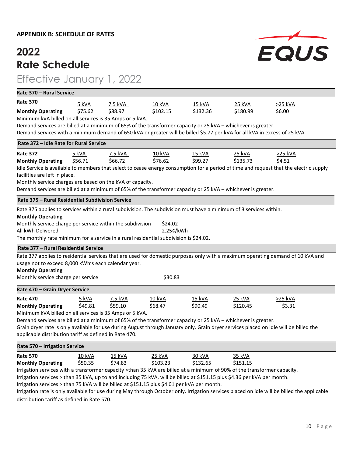#### **APPENDIX B: SCHEDULE OF RATES**

### **2022 Rate Schedule**

### Effective January 1, 2022

| Rate 370 - Rural Service                                                                                                   |                                                                                                                                        |         |               |               |          |                                                                                                                                       |  |  |
|----------------------------------------------------------------------------------------------------------------------------|----------------------------------------------------------------------------------------------------------------------------------------|---------|---------------|---------------|----------|---------------------------------------------------------------------------------------------------------------------------------------|--|--|
| <b>Rate 370</b>                                                                                                            | 5 kVA                                                                                                                                  | 7.5 kVA | 10 kVA        | 15 kVA        | 25 kVA   | >25 kVA                                                                                                                               |  |  |
| <b>Monthly Operating</b>                                                                                                   | \$75.62                                                                                                                                | \$88.97 | \$102.15      | \$132.36      | \$180.99 | \$6.00                                                                                                                                |  |  |
| Minimum kVA billed on all services is 35 Amps or 5 kVA.                                                                    |                                                                                                                                        |         |               |               |          |                                                                                                                                       |  |  |
| Demand services are billed at a minimum of 65% of the transformer capacity or 25 kVA - whichever is greater.               |                                                                                                                                        |         |               |               |          |                                                                                                                                       |  |  |
| Demand services with a minimum demand of 650 kVA or greater will be billed \$5.77 per kVA for all kVA in excess of 25 kVA. |                                                                                                                                        |         |               |               |          |                                                                                                                                       |  |  |
|                                                                                                                            | Rate 372 - Idle Rate for Rural Service                                                                                                 |         |               |               |          |                                                                                                                                       |  |  |
| <b>Rate 372</b>                                                                                                            | 5 kVA                                                                                                                                  | 7.5 kVA | <b>10 kVA</b> | <b>15 kVA</b> | 25 kVA   | >25 kVA                                                                                                                               |  |  |
| <b>Monthly Operating</b>                                                                                                   | \$56.71                                                                                                                                | \$66.72 | \$76.62       | \$99.27       | \$135.73 | \$4.51                                                                                                                                |  |  |
|                                                                                                                            | Idle Service is available to members that select to cease energy consumption for a period of time and request that the electric supply |         |               |               |          |                                                                                                                                       |  |  |
| facilities are left in place.                                                                                              |                                                                                                                                        |         |               |               |          |                                                                                                                                       |  |  |
| Monthly service charges are based on the kVA of capacity.                                                                  |                                                                                                                                        |         |               |               |          |                                                                                                                                       |  |  |
| Demand services are billed at a minimum of 65% of the transformer capacity or 25 kVA - whichever is greater.               |                                                                                                                                        |         |               |               |          |                                                                                                                                       |  |  |
|                                                                                                                            | Rate 375 - Rural Residential Subdivision Service                                                                                       |         |               |               |          |                                                                                                                                       |  |  |
|                                                                                                                            | Rate 375 applies to services within a rural subdivision. The subdivision must have a minimum of 3 services within.                     |         |               |               |          |                                                                                                                                       |  |  |
| <b>Monthly Operating</b>                                                                                                   |                                                                                                                                        |         |               |               |          |                                                                                                                                       |  |  |
| Monthly service charge per service within the subdivision                                                                  |                                                                                                                                        |         | \$24.02       |               |          |                                                                                                                                       |  |  |
| All kWh Delivered                                                                                                          |                                                                                                                                        |         | 2.25¢/kWh     |               |          |                                                                                                                                       |  |  |
| The monthly rate minimum for a service in a rural residential subdivision is \$24.02.                                      |                                                                                                                                        |         |               |               |          |                                                                                                                                       |  |  |
| Rate 377 – Rural Residential Service                                                                                       |                                                                                                                                        |         |               |               |          |                                                                                                                                       |  |  |
|                                                                                                                            |                                                                                                                                        |         |               |               |          | Rate 377 applies to residential services that are used for domestic purposes only with a maximum operating demand of 10 kVA and       |  |  |
| usage not to exceed 8,000 kWh's each calendar year.                                                                        |                                                                                                                                        |         |               |               |          |                                                                                                                                       |  |  |
| <b>Monthly Operating</b>                                                                                                   |                                                                                                                                        |         |               |               |          |                                                                                                                                       |  |  |
| Monthly service charge per service                                                                                         |                                                                                                                                        |         | \$30.83       |               |          |                                                                                                                                       |  |  |
| Rate 470 - Grain Dryer Service                                                                                             |                                                                                                                                        |         |               |               |          |                                                                                                                                       |  |  |
| <b>Rate 470</b>                                                                                                            | 5 kVA                                                                                                                                  | 7.5 kVA | 10 kVA        | 15 kVA        | 25 kVA   | >25 kVA                                                                                                                               |  |  |
| <b>Monthly Operating</b>                                                                                                   | \$49.81                                                                                                                                | \$59.10 | \$68.47       | \$90.49       | \$120.45 | \$3.31                                                                                                                                |  |  |
| Minimum kVA billed on all services is 35 Amps or 5 kVA.                                                                    |                                                                                                                                        |         |               |               |          |                                                                                                                                       |  |  |
| Demand services are billed at a minimum of 65% of the transformer capacity or 25 kVA - whichever is greater.               |                                                                                                                                        |         |               |               |          |                                                                                                                                       |  |  |
|                                                                                                                            |                                                                                                                                        |         |               |               |          | Grain dryer rate is only available for use during August through January only. Grain dryer services placed on idle will be billed the |  |  |
| applicable distribution tariff as defined in Rate 470.                                                                     |                                                                                                                                        |         |               |               |          |                                                                                                                                       |  |  |
| Rate 570 – Irrigation Service                                                                                              |                                                                                                                                        |         |               |               |          |                                                                                                                                       |  |  |
| <b>Rate 570</b>                                                                                                            | 10 kVA                                                                                                                                 | 15 kVA  | 25 kVA        | 30 kVA        | 35 kVA   |                                                                                                                                       |  |  |
| <b>Monthly Operating</b>                                                                                                   | \$50.35                                                                                                                                | \$74.83 | \$103.23      | \$132.65      | \$151.15 |                                                                                                                                       |  |  |
| Irrigation services with a transformer capacity >than 35 kVA are billed at a minimum of 90% of the transformer capacity.   |                                                                                                                                        |         |               |               |          |                                                                                                                                       |  |  |
| Irrigation services > than 35 kVA, up to and including 75 kVA, will be billed at \$151.15 plus \$4.36 per kVA per month.   |                                                                                                                                        |         |               |               |          |                                                                                                                                       |  |  |

Irrigation services > than 75 kVA will be billed at \$151.15 plus \$4.01 per kVA per month.

Irrigation rate is only available for use during May through October only. Irrigation services placed on idle will be billed the applicable distribution tariff as defined in Rate 570.